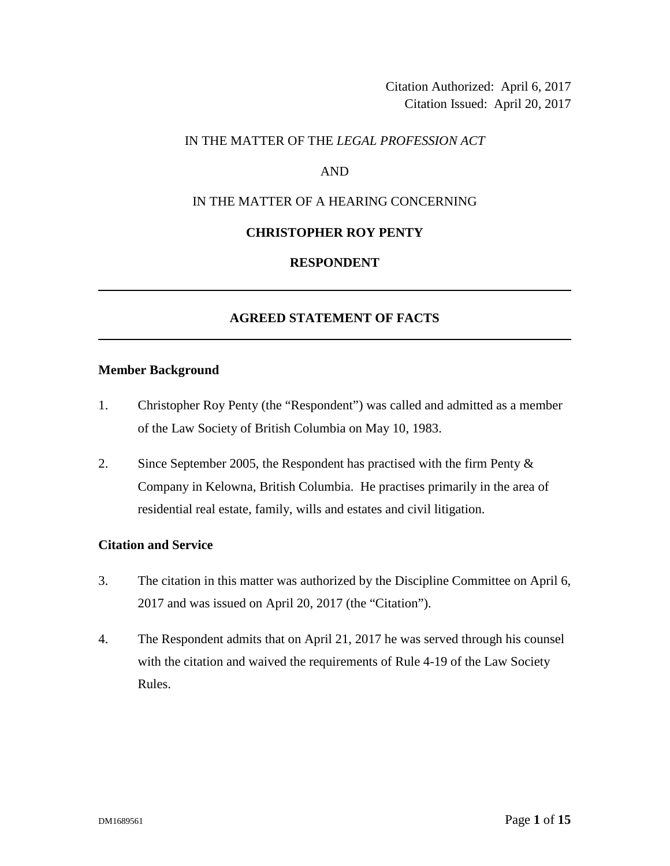Citation Authorized: April 6, 2017 Citation Issued: April 20, 2017

### IN THE MATTER OF THE *LEGAL PROFESSION ACT*

### AND

# IN THE MATTER OF A HEARING CONCERNING

#### **CHRISTOPHER ROY PENTY**

### **RESPONDENT**

### **AGREED STATEMENT OF FACTS**

#### **Member Background**

- 1. Christopher Roy Penty (the "Respondent") was called and admitted as a member of the Law Society of British Columbia on May 10, 1983.
- 2. Since September 2005, the Respondent has practised with the firm Penty & Company in Kelowna, British Columbia. He practises primarily in the area of residential real estate, family, wills and estates and civil litigation.

### **Citation and Service**

- 3. The citation in this matter was authorized by the Discipline Committee on April 6, 2017 and was issued on April 20, 2017 (the "Citation").
- 4. The Respondent admits that on April 21, 2017 he was served through his counsel with the citation and waived the requirements of Rule 4-19 of the Law Society Rules.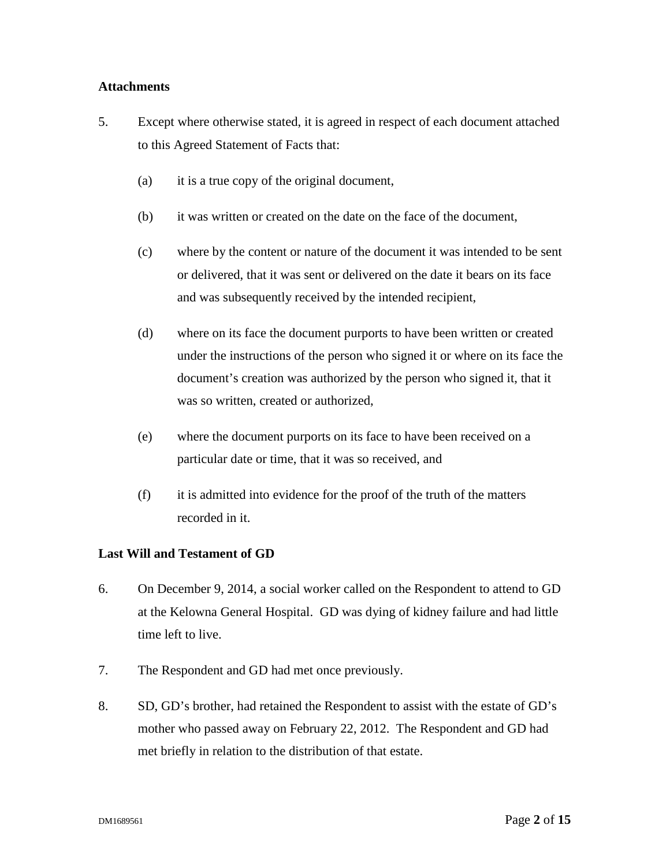### **Attachments**

- 5. Except where otherwise stated, it is agreed in respect of each document attached to this Agreed Statement of Facts that:
	- (a) it is a true copy of the original document,
	- (b) it was written or created on the date on the face of the document,
	- (c) where by the content or nature of the document it was intended to be sent or delivered, that it was sent or delivered on the date it bears on its face and was subsequently received by the intended recipient,
	- (d) where on its face the document purports to have been written or created under the instructions of the person who signed it or where on its face the document's creation was authorized by the person who signed it, that it was so written, created or authorized,
	- (e) where the document purports on its face to have been received on a particular date or time, that it was so received, and
	- (f) it is admitted into evidence for the proof of the truth of the matters recorded in it.

# **Last Will and Testament of GD**

- 6. On December 9, 2014, a social worker called on the Respondent to attend to GD at the Kelowna General Hospital. GD was dying of kidney failure and had little time left to live.
- 7. The Respondent and GD had met once previously.
- 8. SD, GD's brother, had retained the Respondent to assist with the estate of GD's mother who passed away on February 22, 2012. The Respondent and GD had met briefly in relation to the distribution of that estate.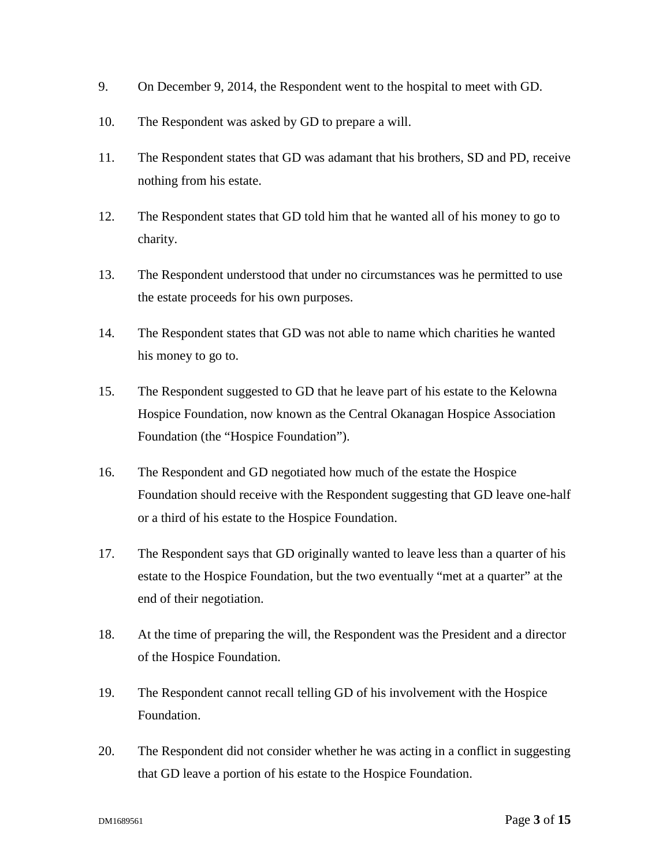- 9. On December 9, 2014, the Respondent went to the hospital to meet with GD.
- 10. The Respondent was asked by GD to prepare a will.
- 11. The Respondent states that GD was adamant that his brothers, SD and PD, receive nothing from his estate.
- 12. The Respondent states that GD told him that he wanted all of his money to go to charity.
- 13. The Respondent understood that under no circumstances was he permitted to use the estate proceeds for his own purposes.
- 14. The Respondent states that GD was not able to name which charities he wanted his money to go to.
- 15. The Respondent suggested to GD that he leave part of his estate to the Kelowna Hospice Foundation, now known as the Central Okanagan Hospice Association Foundation (the "Hospice Foundation").
- 16. The Respondent and GD negotiated how much of the estate the Hospice Foundation should receive with the Respondent suggesting that GD leave one-half or a third of his estate to the Hospice Foundation.
- 17. The Respondent says that GD originally wanted to leave less than a quarter of his estate to the Hospice Foundation, but the two eventually "met at a quarter" at the end of their negotiation.
- 18. At the time of preparing the will, the Respondent was the President and a director of the Hospice Foundation.
- 19. The Respondent cannot recall telling GD of his involvement with the Hospice Foundation.
- 20. The Respondent did not consider whether he was acting in a conflict in suggesting that GD leave a portion of his estate to the Hospice Foundation.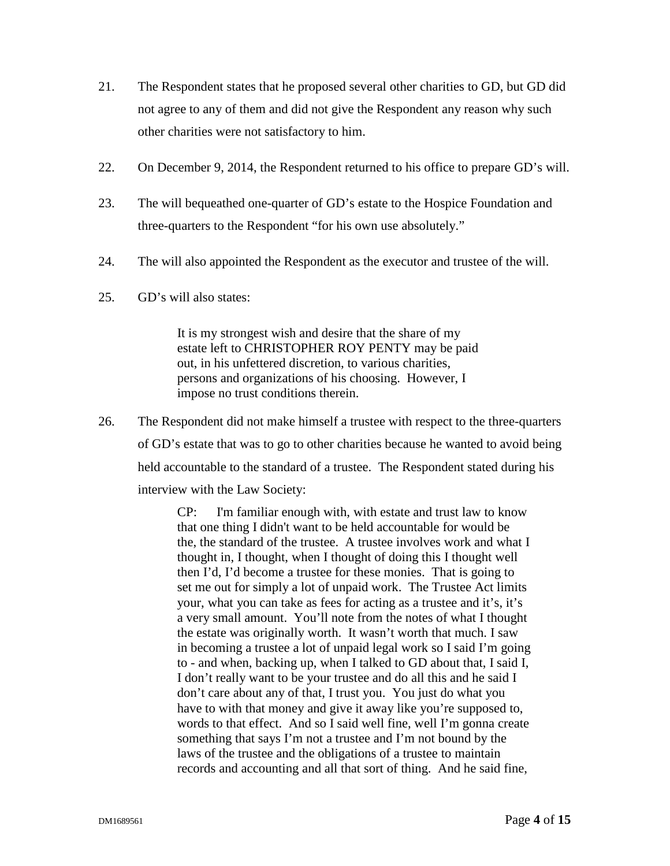- 21. The Respondent states that he proposed several other charities to GD, but GD did not agree to any of them and did not give the Respondent any reason why such other charities were not satisfactory to him.
- 22. On December 9, 2014, the Respondent returned to his office to prepare GD's will.
- 23. The will bequeathed one-quarter of GD's estate to the Hospice Foundation and three-quarters to the Respondent "for his own use absolutely."
- 24. The will also appointed the Respondent as the executor and trustee of the will.
- 25. GD's will also states:

It is my strongest wish and desire that the share of my estate left to CHRISTOPHER ROY PENTY may be paid out, in his unfettered discretion, to various charities, persons and organizations of his choosing. However, I impose no trust conditions therein.

26. The Respondent did not make himself a trustee with respect to the three-quarters of GD's estate that was to go to other charities because he wanted to avoid being held accountable to the standard of a trustee. The Respondent stated during his interview with the Law Society:

> CP: I'm familiar enough with, with estate and trust law to know that one thing I didn't want to be held accountable for would be the, the standard of the trustee. A trustee involves work and what I thought in, I thought, when I thought of doing this I thought well then I'd, I'd become a trustee for these monies. That is going to set me out for simply a lot of unpaid work. The Trustee Act limits your, what you can take as fees for acting as a trustee and it's, it's a very small amount. You'll note from the notes of what I thought the estate was originally worth. It wasn't worth that much. I saw in becoming a trustee a lot of unpaid legal work so I said I'm going to - and when, backing up, when I talked to GD about that, I said I, I don't really want to be your trustee and do all this and he said I don't care about any of that, I trust you. You just do what you have to with that money and give it away like you're supposed to, words to that effect. And so I said well fine, well I'm gonna create something that says I'm not a trustee and I'm not bound by the laws of the trustee and the obligations of a trustee to maintain records and accounting and all that sort of thing. And he said fine,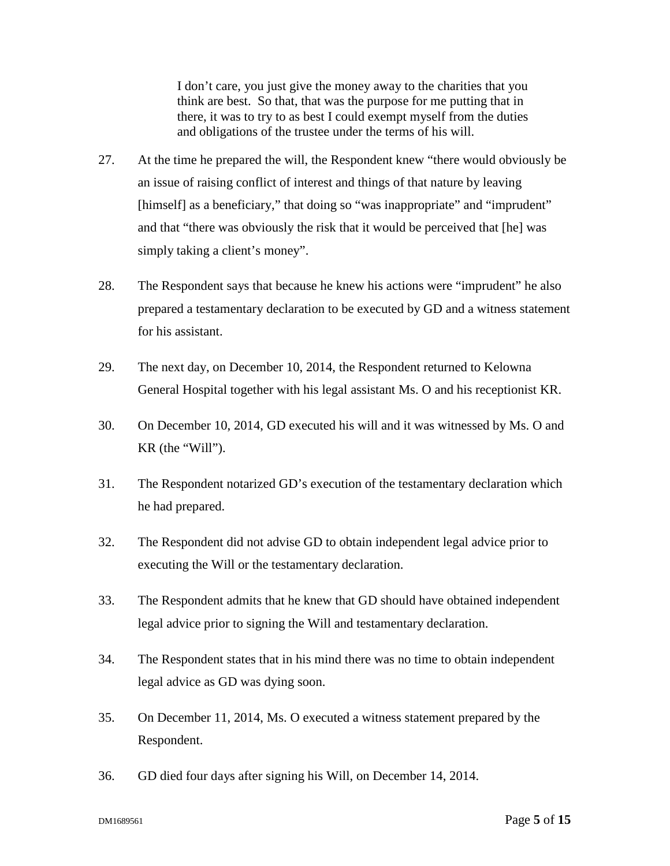I don't care, you just give the money away to the charities that you think are best. So that, that was the purpose for me putting that in there, it was to try to as best I could exempt myself from the duties and obligations of the trustee under the terms of his will.

- 27. At the time he prepared the will, the Respondent knew "there would obviously be an issue of raising conflict of interest and things of that nature by leaving [himself] as a beneficiary," that doing so "was inappropriate" and "imprudent" and that "there was obviously the risk that it would be perceived that [he] was simply taking a client's money".
- 28. The Respondent says that because he knew his actions were "imprudent" he also prepared a testamentary declaration to be executed by GD and a witness statement for his assistant.
- 29. The next day, on December 10, 2014, the Respondent returned to Kelowna General Hospital together with his legal assistant Ms. O and his receptionist KR.
- 30. On December 10, 2014, GD executed his will and it was witnessed by Ms. O and KR (the "Will").
- 31. The Respondent notarized GD's execution of the testamentary declaration which he had prepared.
- 32. The Respondent did not advise GD to obtain independent legal advice prior to executing the Will or the testamentary declaration.
- 33. The Respondent admits that he knew that GD should have obtained independent legal advice prior to signing the Will and testamentary declaration.
- 34. The Respondent states that in his mind there was no time to obtain independent legal advice as GD was dying soon.
- 35. On December 11, 2014, Ms. O executed a witness statement prepared by the Respondent.
- 36. GD died four days after signing his Will, on December 14, 2014.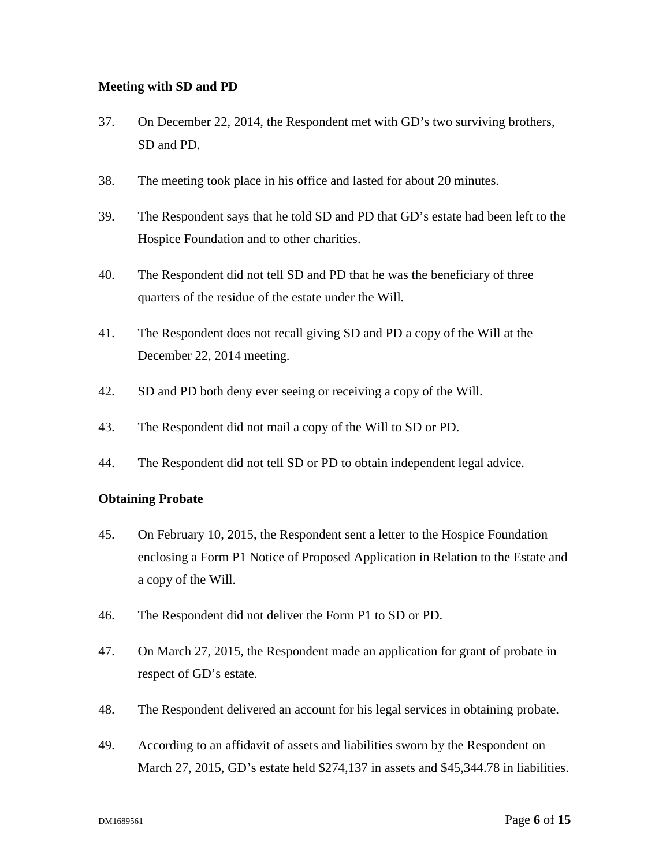### **Meeting with SD and PD**

- 37. On December 22, 2014, the Respondent met with GD's two surviving brothers, SD and PD.
- 38. The meeting took place in his office and lasted for about 20 minutes.
- 39. The Respondent says that he told SD and PD that GD's estate had been left to the Hospice Foundation and to other charities.
- 40. The Respondent did not tell SD and PD that he was the beneficiary of three quarters of the residue of the estate under the Will.
- 41. The Respondent does not recall giving SD and PD a copy of the Will at the December 22, 2014 meeting.
- 42. SD and PD both deny ever seeing or receiving a copy of the Will.
- 43. The Respondent did not mail a copy of the Will to SD or PD.
- 44. The Respondent did not tell SD or PD to obtain independent legal advice.

# **Obtaining Probate**

- 45. On February 10, 2015, the Respondent sent a letter to the Hospice Foundation enclosing a Form P1 Notice of Proposed Application in Relation to the Estate and a copy of the Will.
- 46. The Respondent did not deliver the Form P1 to SD or PD.
- 47. On March 27, 2015, the Respondent made an application for grant of probate in respect of GD's estate.
- 48. The Respondent delivered an account for his legal services in obtaining probate.
- 49. According to an affidavit of assets and liabilities sworn by the Respondent on March 27, 2015, GD's estate held \$274,137 in assets and \$45,344.78 in liabilities.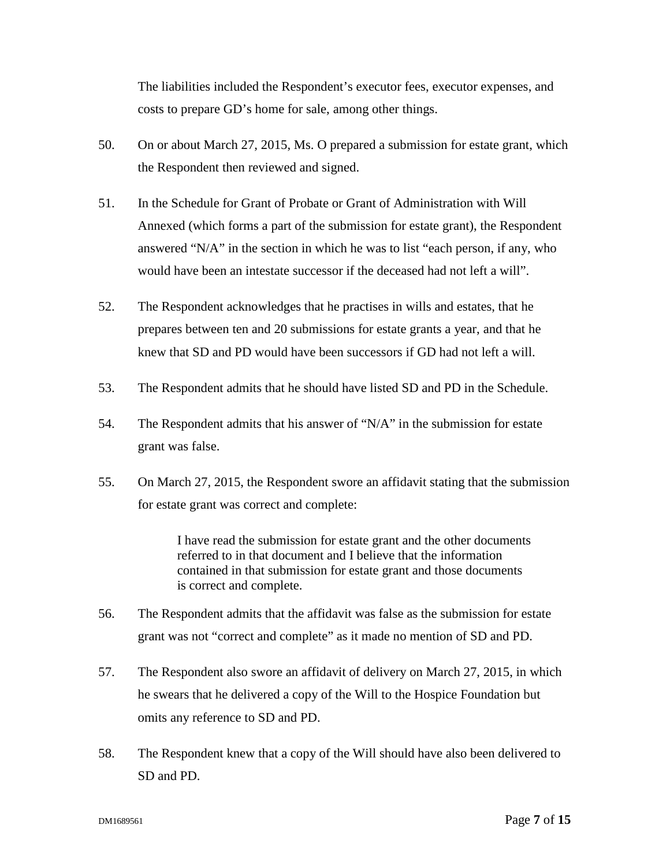The liabilities included the Respondent's executor fees, executor expenses, and costs to prepare GD's home for sale, among other things.

- 50. On or about March 27, 2015, Ms. O prepared a submission for estate grant, which the Respondent then reviewed and signed.
- 51. In the Schedule for Grant of Probate or Grant of Administration with Will Annexed (which forms a part of the submission for estate grant), the Respondent answered "N/A" in the section in which he was to list "each person, if any, who would have been an intestate successor if the deceased had not left a will".
- 52. The Respondent acknowledges that he practises in wills and estates, that he prepares between ten and 20 submissions for estate grants a year, and that he knew that SD and PD would have been successors if GD had not left a will.
- 53. The Respondent admits that he should have listed SD and PD in the Schedule.
- 54. The Respondent admits that his answer of "N/A" in the submission for estate grant was false.
- 55. On March 27, 2015, the Respondent swore an affidavit stating that the submission for estate grant was correct and complete:

I have read the submission for estate grant and the other documents referred to in that document and I believe that the information contained in that submission for estate grant and those documents is correct and complete.

- 56. The Respondent admits that the affidavit was false as the submission for estate grant was not "correct and complete" as it made no mention of SD and PD.
- 57. The Respondent also swore an affidavit of delivery on March 27, 2015, in which he swears that he delivered a copy of the Will to the Hospice Foundation but omits any reference to SD and PD.
- 58. The Respondent knew that a copy of the Will should have also been delivered to SD and PD.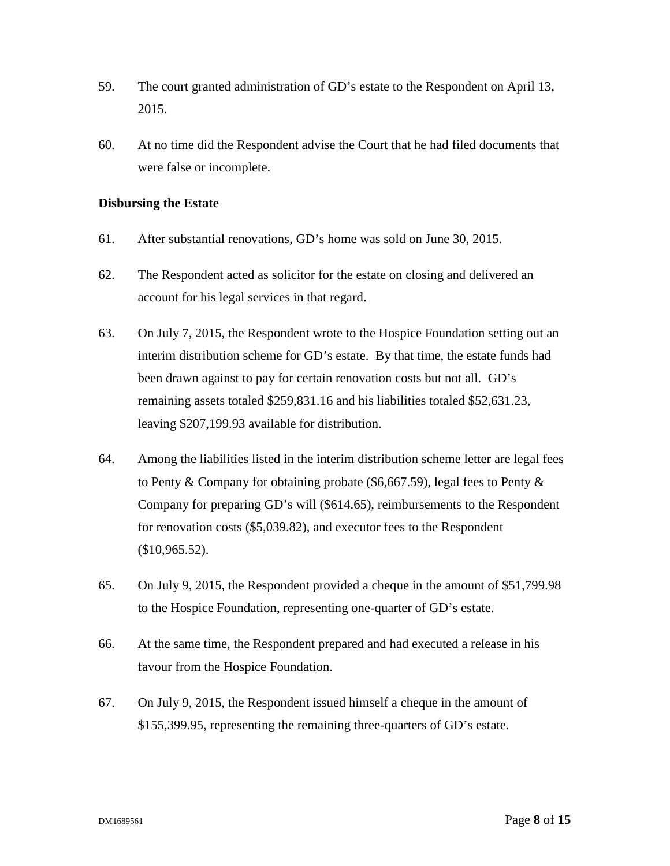- 59. The court granted administration of GD's estate to the Respondent on April 13, 2015.
- 60. At no time did the Respondent advise the Court that he had filed documents that were false or incomplete.

### **Disbursing the Estate**

- 61. After substantial renovations, GD's home was sold on June 30, 2015.
- 62. The Respondent acted as solicitor for the estate on closing and delivered an account for his legal services in that regard.
- 63. On July 7, 2015, the Respondent wrote to the Hospice Foundation setting out an interim distribution scheme for GD's estate. By that time, the estate funds had been drawn against to pay for certain renovation costs but not all. GD's remaining assets totaled \$259,831.16 and his liabilities totaled \$52,631.23, leaving \$207,199.93 available for distribution.
- 64. Among the liabilities listed in the interim distribution scheme letter are legal fees to Penty & Company for obtaining probate (\$6,667.59), legal fees to Penty & Company for preparing GD's will (\$614.65), reimbursements to the Respondent for renovation costs (\$5,039.82), and executor fees to the Respondent (\$10,965.52).
- 65. On July 9, 2015, the Respondent provided a cheque in the amount of \$51,799.98 to the Hospice Foundation, representing one-quarter of GD's estate.
- 66. At the same time, the Respondent prepared and had executed a release in his favour from the Hospice Foundation.
- 67. On July 9, 2015, the Respondent issued himself a cheque in the amount of \$155,399.95, representing the remaining three-quarters of GD's estate.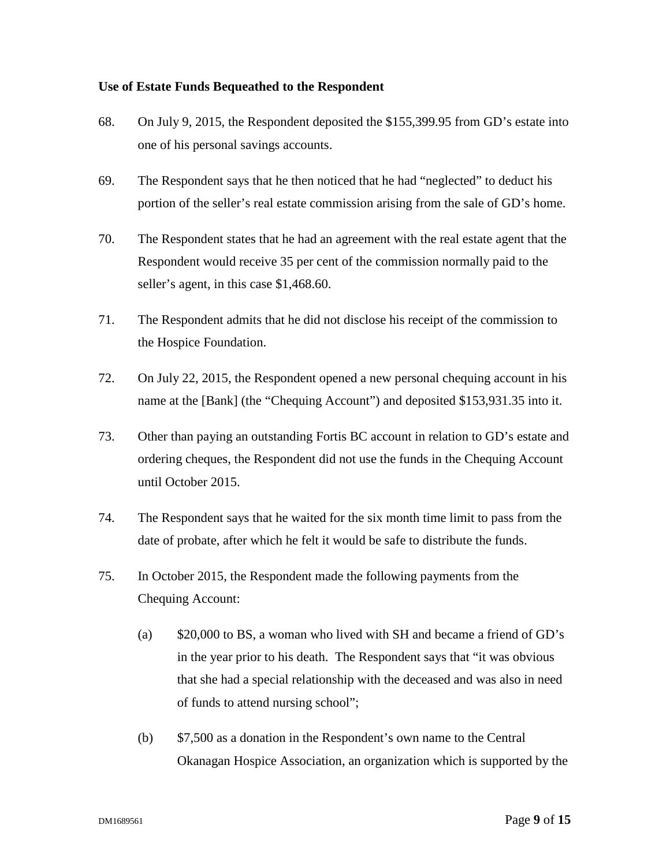### **Use of Estate Funds Bequeathed to the Respondent**

- 68. On July 9, 2015, the Respondent deposited the \$155,399.95 from GD's estate into one of his personal savings accounts.
- 69. The Respondent says that he then noticed that he had "neglected" to deduct his portion of the seller's real estate commission arising from the sale of GD's home.
- 70. The Respondent states that he had an agreement with the real estate agent that the Respondent would receive 35 per cent of the commission normally paid to the seller's agent, in this case \$1,468.60.
- 71. The Respondent admits that he did not disclose his receipt of the commission to the Hospice Foundation.
- 72. On July 22, 2015, the Respondent opened a new personal chequing account in his name at the [Bank] (the "Chequing Account") and deposited \$153,931.35 into it.
- 73. Other than paying an outstanding Fortis BC account in relation to GD's estate and ordering cheques, the Respondent did not use the funds in the Chequing Account until October 2015.
- 74. The Respondent says that he waited for the six month time limit to pass from the date of probate, after which he felt it would be safe to distribute the funds.
- 75. In October 2015, the Respondent made the following payments from the Chequing Account:
	- (a) \$20,000 to BS, a woman who lived with SH and became a friend of GD's in the year prior to his death. The Respondent says that "it was obvious that she had a special relationship with the deceased and was also in need of funds to attend nursing school";
	- (b) \$7,500 as a donation in the Respondent's own name to the Central Okanagan Hospice Association, an organization which is supported by the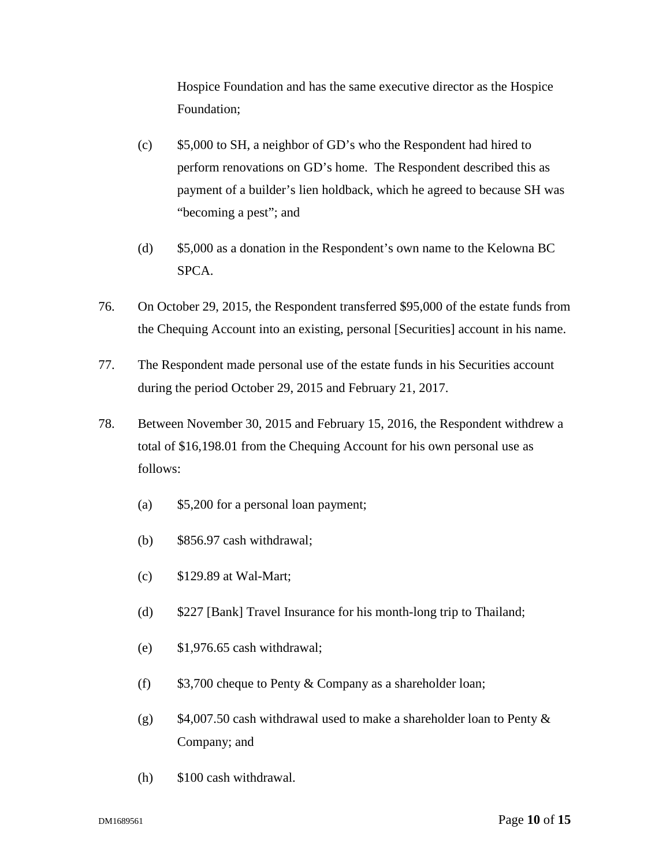Hospice Foundation and has the same executive director as the Hospice Foundation;

- (c) \$5,000 to SH, a neighbor of GD's who the Respondent had hired to perform renovations on GD's home. The Respondent described this as payment of a builder's lien holdback, which he agreed to because SH was "becoming a pest"; and
- (d) \$5,000 as a donation in the Respondent's own name to the Kelowna BC SPCA.
- 76. On October 29, 2015, the Respondent transferred \$95,000 of the estate funds from the Chequing Account into an existing, personal [Securities] account in his name.
- 77. The Respondent made personal use of the estate funds in his Securities account during the period October 29, 2015 and February 21, 2017.
- 78. Between November 30, 2015 and February 15, 2016, the Respondent withdrew a total of \$16,198.01 from the Chequing Account for his own personal use as follows:
	- (a) \$5,200 for a personal loan payment;
	- (b) \$856.97 cash withdrawal;
	- (c) \$129.89 at Wal-Mart;
	- (d) \$227 [Bank] Travel Insurance for his month-long trip to Thailand;
	- (e) \$1,976.65 cash withdrawal;
	- (f)  $$3,700$  cheque to Penty & Company as a shareholder loan;
	- (g)  $$4,007.50$  cash withdrawal used to make a shareholder loan to Penty  $\&$ Company; and
	- (h) \$100 cash withdrawal.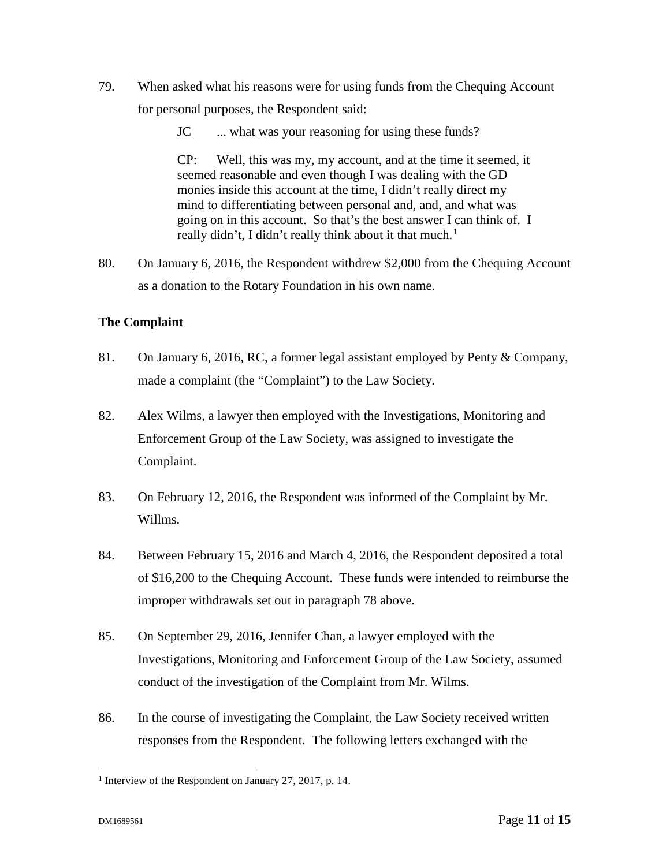- 79. When asked what his reasons were for using funds from the Chequing Account for personal purposes, the Respondent said:
	- JC ... what was your reasoning for using these funds?

CP: Well, this was my, my account, and at the time it seemed, it seemed reasonable and even though I was dealing with the GD monies inside this account at the time, I didn't really direct my mind to differentiating between personal and, and, and what was going on in this account. So that's the best answer I can think of. I really didn't, I didn't really think about it that much. $<sup>1</sup>$ </sup>

80. On January 6, 2016, the Respondent withdrew \$2,000 from the Chequing Account as a donation to the Rotary Foundation in his own name.

# **The Complaint**

- 81. On January 6, 2016*,* RC, a former legal assistant employed by Penty & Company, made a complaint (the "Complaint") to the Law Society.
- 82. Alex Wilms, a lawyer then employed with the Investigations, Monitoring and Enforcement Group of the Law Society, was assigned to investigate the Complaint.
- 83. On February 12, 2016, the Respondent was informed of the Complaint by Mr. Willms.
- 84. Between February 15, 2016 and March 4, 2016, the Respondent deposited a total of \$16,200 to the Chequing Account. These funds were intended to reimburse the improper withdrawals set out in paragraph 78 above.
- 85. On September 29, 2016, Jennifer Chan, a lawyer employed with the Investigations, Monitoring and Enforcement Group of the Law Society, assumed conduct of the investigation of the Complaint from Mr. Wilms.
- 86. In the course of investigating the Complaint, the Law Society received written responses from the Respondent. The following letters exchanged with the

 $\overline{a}$ 

<sup>1</sup> Interview of the Respondent on January 27, 2017, p. 14.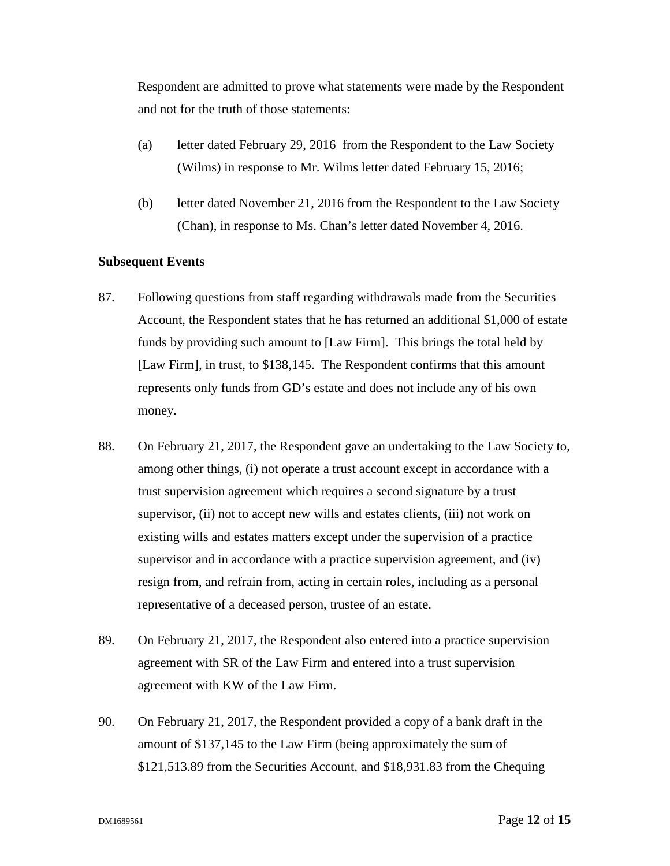Respondent are admitted to prove what statements were made by the Respondent and not for the truth of those statements:

- (a) letter dated February 29, 2016 from the Respondent to the Law Society (Wilms) in response to Mr. Wilms letter dated February 15, 2016;
- (b) letter dated November 21, 2016 from the Respondent to the Law Society (Chan), in response to Ms. Chan's letter dated November 4, 2016.

#### **Subsequent Events**

- 87. Following questions from staff regarding withdrawals made from the Securities Account, the Respondent states that he has returned an additional \$1,000 of estate funds by providing such amount to [Law Firm]. This brings the total held by [Law Firm], in trust, to \$138,145. The Respondent confirms that this amount represents only funds from GD's estate and does not include any of his own money.
- 88. On February 21, 2017, the Respondent gave an undertaking to the Law Society to, among other things, (i) not operate a trust account except in accordance with a trust supervision agreement which requires a second signature by a trust supervisor, (ii) not to accept new wills and estates clients, (iii) not work on existing wills and estates matters except under the supervision of a practice supervisor and in accordance with a practice supervision agreement, and (iv) resign from, and refrain from, acting in certain roles, including as a personal representative of a deceased person, trustee of an estate.
- 89. On February 21, 2017, the Respondent also entered into a practice supervision agreement with SR of the Law Firm and entered into a trust supervision agreement with KW of the Law Firm.
- 90. On February 21, 2017, the Respondent provided a copy of a bank draft in the amount of \$137,145 to the Law Firm (being approximately the sum of \$121,513.89 from the Securities Account, and \$18,931.83 from the Chequing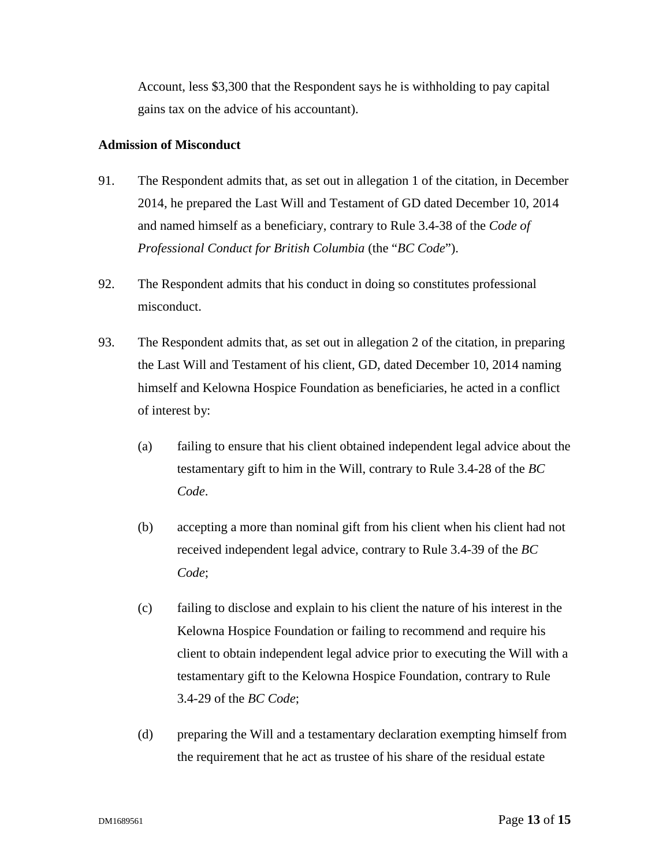Account, less \$3,300 that the Respondent says he is withholding to pay capital gains tax on the advice of his accountant).

### **Admission of Misconduct**

- 91. The Respondent admits that, as set out in allegation 1 of the citation, in December 2014, he prepared the Last Will and Testament of GD dated December 10, 2014 and named himself as a beneficiary, contrary to Rule 3.4-38 of the *Code of Professional Conduct for British Columbia* (the "*BC Code*").
- 92. The Respondent admits that his conduct in doing so constitutes professional misconduct.
- 93. The Respondent admits that, as set out in allegation 2 of the citation, in preparing the Last Will and Testament of his client, GD, dated December 10, 2014 naming himself and Kelowna Hospice Foundation as beneficiaries, he acted in a conflict of interest by:
	- (a) failing to ensure that his client obtained independent legal advice about the testamentary gift to him in the Will, contrary to Rule 3.4-28 of the *BC Code*.
	- (b) accepting a more than nominal gift from his client when his client had not received independent legal advice, contrary to Rule 3.4-39 of the *BC Code*;
	- (c) failing to disclose and explain to his client the nature of his interest in the Kelowna Hospice Foundation or failing to recommend and require his client to obtain independent legal advice prior to executing the Will with a testamentary gift to the Kelowna Hospice Foundation, contrary to Rule 3.4-29 of the *BC Code*;
	- (d) preparing the Will and a testamentary declaration exempting himself from the requirement that he act as trustee of his share of the residual estate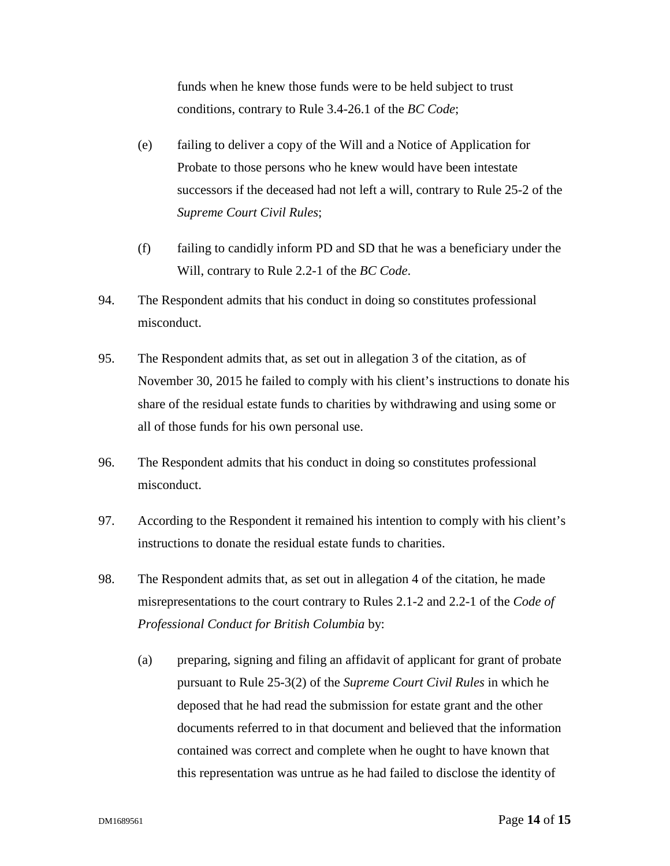funds when he knew those funds were to be held subject to trust conditions, contrary to Rule 3.4-26.1 of the *BC Code*;

- (e) failing to deliver a copy of the Will and a Notice of Application for Probate to those persons who he knew would have been intestate successors if the deceased had not left a will, contrary to Rule 25-2 of the *Supreme Court Civil Rules*;
- (f) failing to candidly inform PD and SD that he was a beneficiary under the Will, contrary to Rule 2.2-1 of the *BC Code*.
- 94. The Respondent admits that his conduct in doing so constitutes professional misconduct.
- 95. The Respondent admits that, as set out in allegation 3 of the citation, as of November 30, 2015 he failed to comply with his client's instructions to donate his share of the residual estate funds to charities by withdrawing and using some or all of those funds for his own personal use.
- 96. The Respondent admits that his conduct in doing so constitutes professional misconduct.
- 97. According to the Respondent it remained his intention to comply with his client's instructions to donate the residual estate funds to charities.
- 98. The Respondent admits that, as set out in allegation 4 of the citation, he made misrepresentations to the court contrary to Rules 2.1-2 and 2.2-1 of the *Code of Professional Conduct for British Columbia* by:
	- (a) preparing, signing and filing an affidavit of applicant for grant of probate pursuant to Rule 25-3(2) of the *Supreme Court Civil Rules* in which he deposed that he had read the submission for estate grant and the other documents referred to in that document and believed that the information contained was correct and complete when he ought to have known that this representation was untrue as he had failed to disclose the identity of